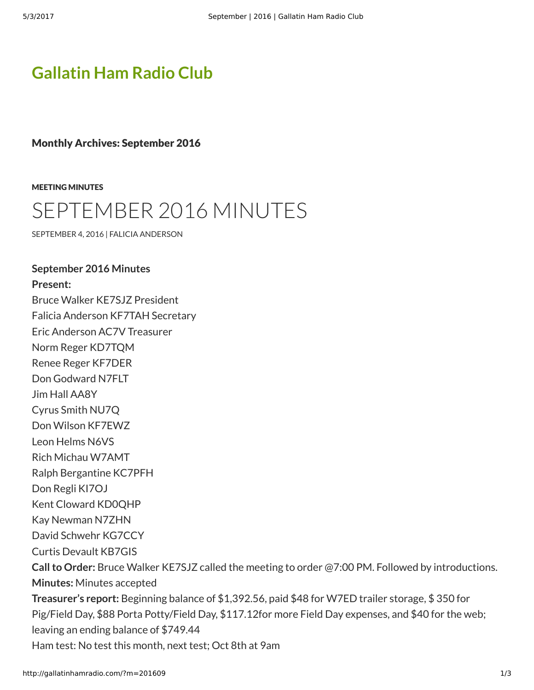## **[Gallatin Ham Radio Club](http://gallatinhamradio.com/)**

Monthly Archives: September 2016

[MEETING MINUTES](http://gallatinhamradio.com/?cat=2)

## [SEPTEMBER 2016 MINUTES](http://gallatinhamradio.com/?p=394)

[SEPTEMBER 4, 2016](http://gallatinhamradio.com/?p=394) | [FALICIA ANDERSON](http://gallatinhamradio.com/?author=2)

**September 2016 Minutes Present:** Bruce Walker KE7SJZ President Falicia Anderson KF7TAH Secretary Eric Anderson AC7V Treasurer Norm Reger KD7TQM Renee Reger KF7DER Don Godward N7FLT Jim Hall AA8Y Cyrus Smith NU7Q Don Wilson KF7EWZ Leon Helms N6VS Rich Michau W7AMT Ralph Bergantine KC7PFH Don Regli KI7OJ Kent Cloward KD0QHP Kay Newman N7ZHN David Schwehr KG7CCY Curtis Devault KB7GIS **Call to Order:** Bruce Walker KE7SJZ called the meeting to order @7:00 PM. Followed by introductions. **Minutes:** Minutes accepted **Treasurer's report:** Beginning balance of \$1,392.56, paid \$48 for W7ED trailer storage, \$ 350 for Pig/Field Day, \$88 Porta Potty/Field Day, \$117.12for more Field Day expenses, and \$40 for the web; leaving an ending balance of \$749.44 Ham test: No test this month, next test; Oct 8th at 9am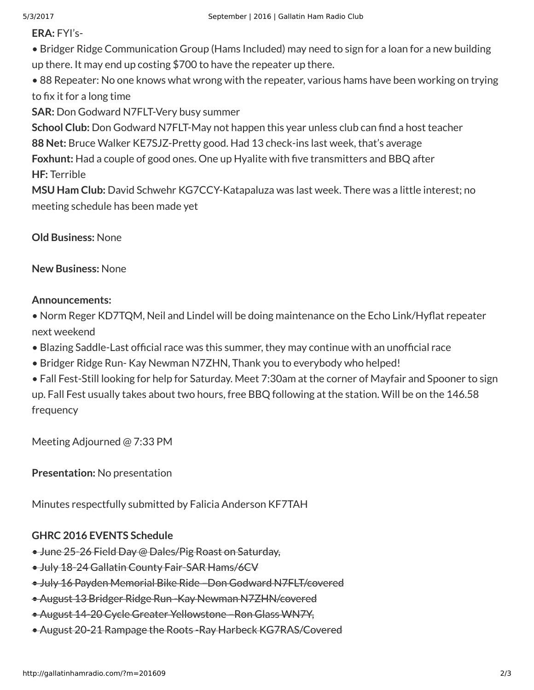**ERA:** FYI's-

• Bridger Ridge Communication Group (Hams Included) may need to sign for a loan for a new building up there. It may end up costing \$700 to have the repeater up there.

• 88 Repeater: No one knows what wrong with the repeater, various hams have been working on trying to fix it for a long time

**SAR:** Don Godward N7FLT-Very busy summer

**School Club:** Don Godward N7FLT-May not happen this year unless club can find a host teacher **88 Net:** Bruce Walker KE7SJZ-Pretty good. Had 13 check-ins last week, that's average **Foxhunt:** Had a couple of good ones. One up Hyalite with five transmitters and BBQ after

**HF:** Terrible

**MSU Ham Club:** David Schwehr KG7CCY-Katapaluza was last week. There was a little interest; no meeting schedule has been made yet

**Old Business:** None

**New Business:** None

## **Announcements:**

• Norm Reger KD7TQM, Neil and Lindel will be doing maintenance on the Echo Link/Hyflat repeater next weekend

• Blazing Saddle-Last official race was this summer, they may continue with an unofficial race

• Bridger Ridge Run- Kay Newman N7ZHN, Thank you to everybody who helped!

• Fall Fest-Still looking for help for Saturday. Meet 7:30am at the corner of Mayfair and Spooner to sign up. Fall Fest usually takes about two hours, free BBQ following at the station. Will be on the 146.58 frequency

Meeting Adjourned @ 7:33 PM

**Presentation:** No presentation

Minutes respectfully submitted by Falicia Anderson KF7TAH

## **GHRC 2016 EVENTS Schedule**

- June 25-26 Field Day @ Dales/Pig Roast on Saturday,
- July 18-24 Gallatin County Fair-SAR Hams/6CV
- July 16 Payden Memorial Bike Ride –Don Godward N7FLT/covered
- August 13 Bridger Ridge Run Kay Newman N7ZHN/covered
- August 14-20 Cycle Greater Yellowstone –Ron Glass WN7Y,
- August 20-21 Rampage the Roots Ray Harbeck KG7RAS/Covered